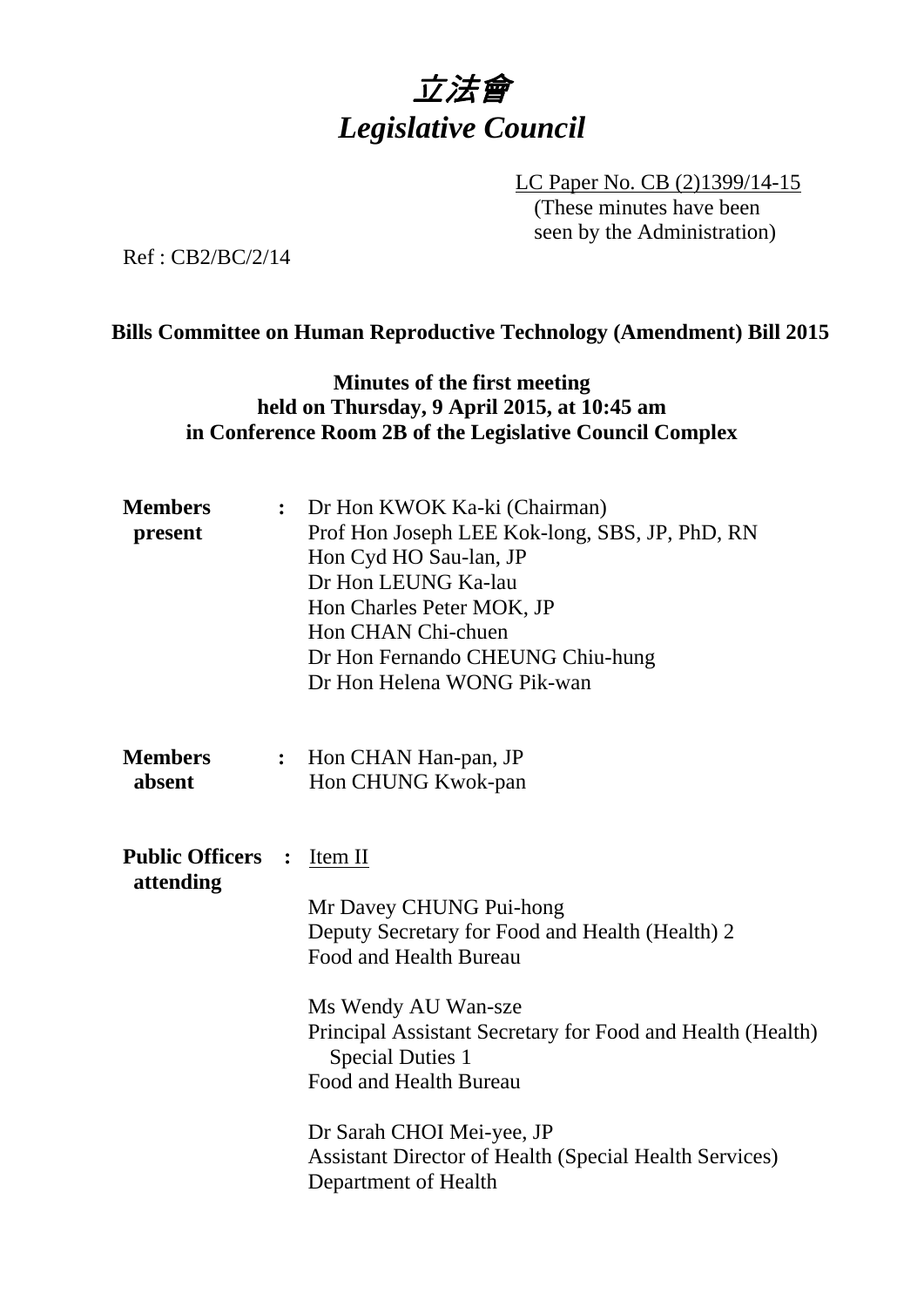

LC Paper No. CB (2)1399/14-15 (These minutes have been seen by the Administration)

Ref : CB2/BC/2/14

#### **Bills Committee on Human Reproductive Technology (Amendment) Bill 2015**

## **Minutes of the first meeting held on Thursday, 9 April 2015, at 10:45 am in Conference Room 2B of the Legislative Council Complex**

| <b>Members</b><br>present           | $\ddot{\cdot}$   | Dr Hon KWOK Ka-ki (Chairman)<br>Prof Hon Joseph LEE Kok-long, SBS, JP, PhD, RN<br>Hon Cyd HO Sau-lan, JP<br>Dr Hon LEUNG Ka-lau<br>Hon Charles Peter MOK, JP<br>Hon CHAN Chi-chuen<br>Dr Hon Fernando CHEUNG Chiu-hung<br>Dr Hon Helena WONG Pik-wan                                                                                                                            |
|-------------------------------------|------------------|---------------------------------------------------------------------------------------------------------------------------------------------------------------------------------------------------------------------------------------------------------------------------------------------------------------------------------------------------------------------------------|
| <b>Members</b><br>absent            | $\ddot{\bullet}$ | Hon CHAN Han-pan, JP<br>Hon CHUNG Kwok-pan                                                                                                                                                                                                                                                                                                                                      |
| <b>Public Officers</b><br>attending | $\ddot{\cdot}$   | Item II<br>Mr Davey CHUNG Pui-hong<br>Deputy Secretary for Food and Health (Health) 2<br>Food and Health Bureau<br>Ms Wendy AU Wan-sze<br>Principal Assistant Secretary for Food and Health (Health)<br><b>Special Duties 1</b><br>Food and Health Bureau<br>Dr Sarah CHOI Mei-yee, JP<br><b>Assistant Director of Health (Special Health Services)</b><br>Department of Health |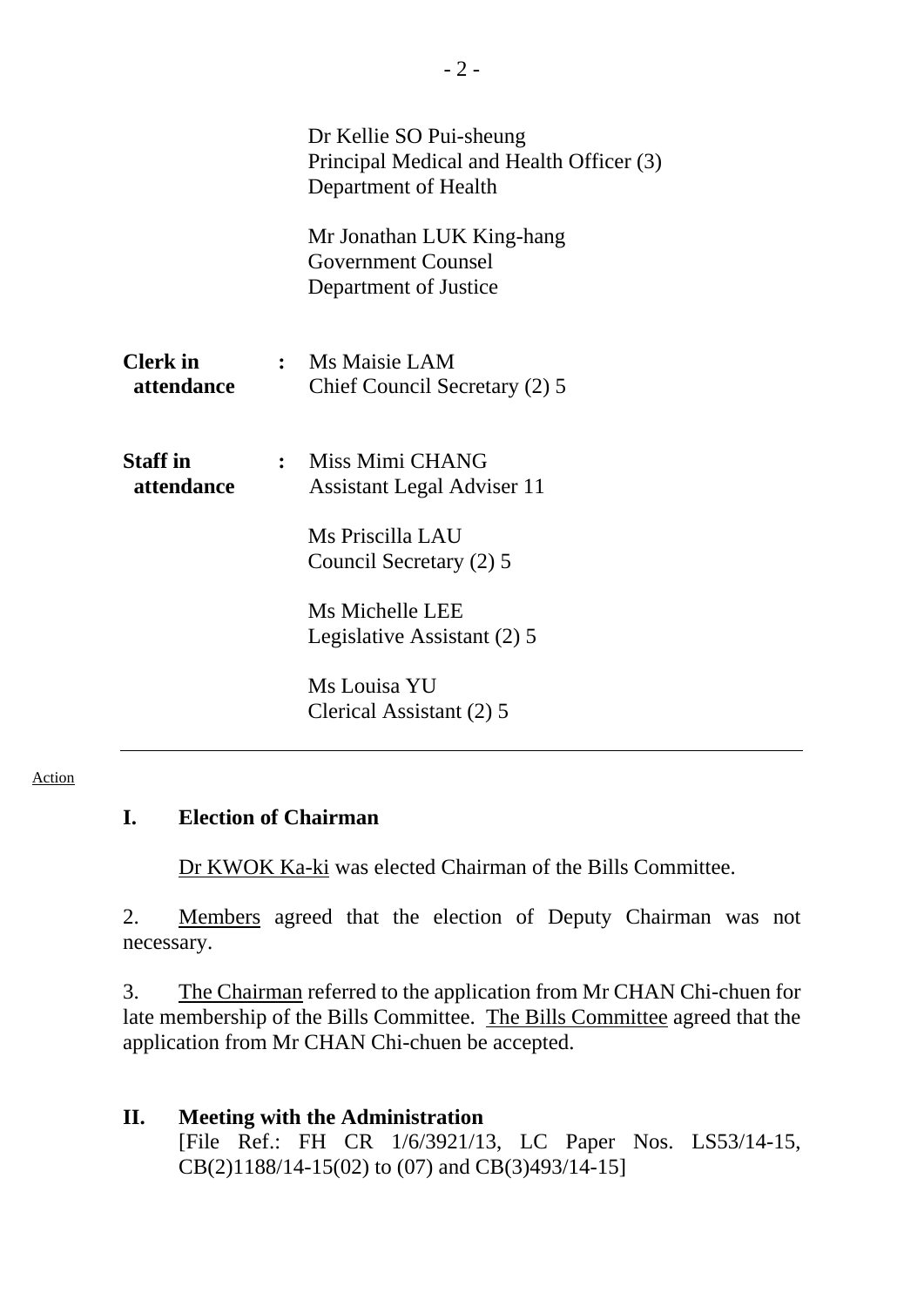|                               | Dr Kellie SO Pui-sheung<br>Principal Medical and Health Officer (3)<br>Department of Health |
|-------------------------------|---------------------------------------------------------------------------------------------|
|                               | Mr Jonathan LUK King-hang<br><b>Government Counsel</b><br>Department of Justice             |
| <b>Clerk</b> in<br>attendance | : Ms Maisie LAM<br>Chief Council Secretary (2) 5                                            |
| <b>Staff</b> in<br>attendance | : Miss Mimi CHANG<br><b>Assistant Legal Adviser 11</b><br>Ms Priscilla LAU                  |
|                               | Council Secretary (2) 5                                                                     |
|                               | Ms Michelle LEE<br>Legislative Assistant (2) 5                                              |
|                               | Ms Louisa YU<br>Clerical Assistant (2) 5                                                    |

#### Action

### **I. Election of Chairman**

1. Dr KWOK Ka-ki was elected Chairman of the Bills Committee.

2. Members agreed that the election of Deputy Chairman was not necessary.

3. The Chairman referred to the application from Mr CHAN Chi-chuen for late membership of the Bills Committee. The Bills Committee agreed that the application from Mr CHAN Chi-chuen be accepted.

#### **II. Meeting with the Administration**  [File Ref.: [FH CR 1/6/3921/13](http://www.legco.gov.hk/yr14-15/english/bills/brief/b201503061_brf.pdf), LC Paper Nos. [LS53/14-15,](http://www.legco.gov.hk/yr14-15/english/hc/papers/hc20150320ls-53-e.pdf) [CB\(2\)1188/14-15\(02\)](http://www.legco.gov.hk/yr14-15/english/bc/bc52/papers/bc5220150409cb2-1188-2-e.pdf) to (07) and [CB\(3\)493/14-15](http://www.legco.gov.hk/yr14-15/english/bills/b201503061.pdf)]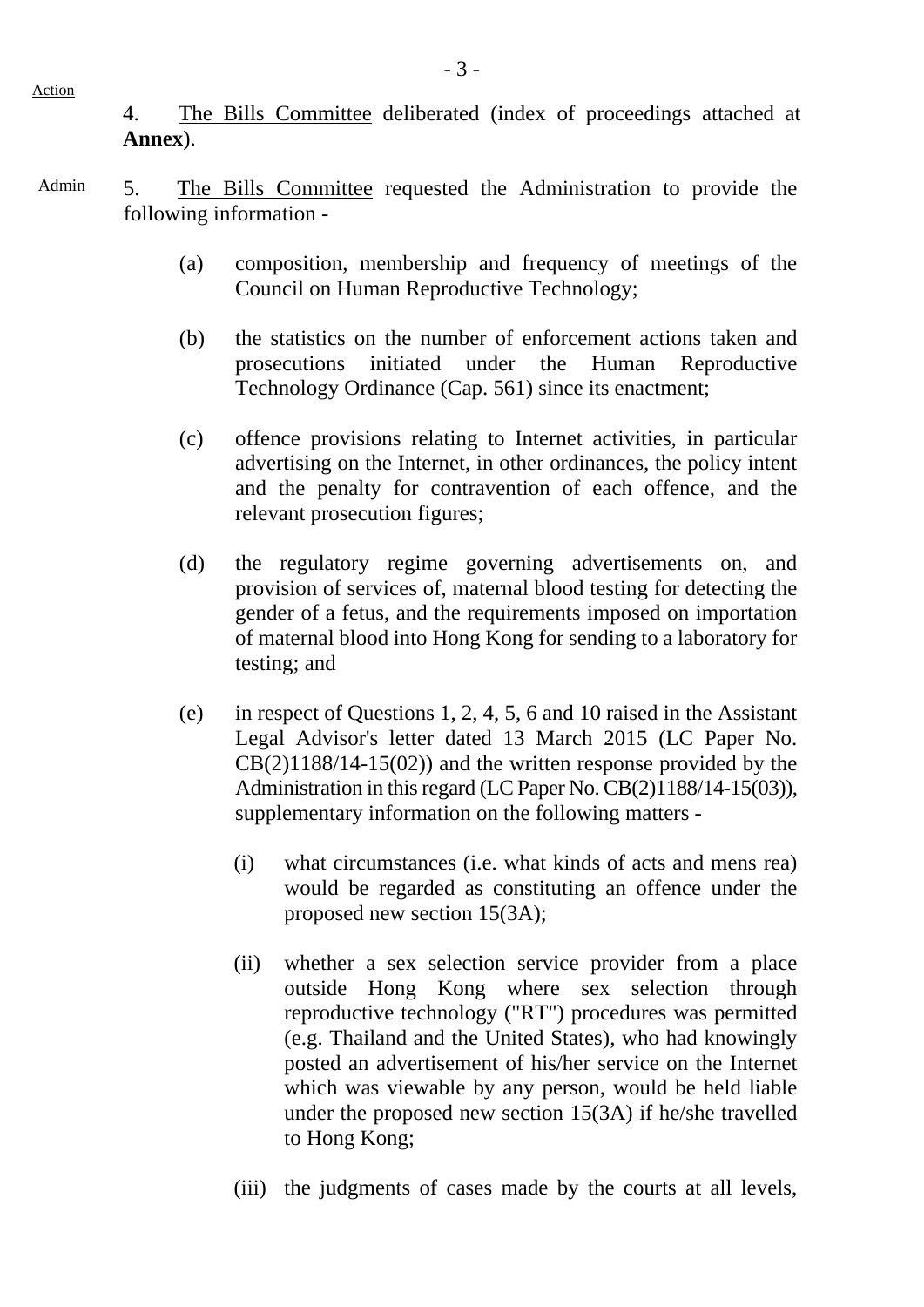4. The Bills Committee deliberated (index of proceedings attached at **Annex**).

Admin 5. The Bills Committee requested the Administration to provide the following information -

- (a) composition, membership and frequency of meetings of the Council on Human Reproductive Technology;
- (b) the statistics on the number of enforcement actions taken and prosecutions initiated under the Human Reproductive Technology Ordinance (Cap. 561) since its enactment;
- (c) offence provisions relating to Internet activities, in particular advertising on the Internet, in other ordinances, the policy intent and the penalty for contravention of each offence, and the relevant prosecution figures;
- (d) the regulatory regime governing advertisements on, and provision of services of, maternal blood testing for detecting the gender of a fetus, and the requirements imposed on importation of maternal blood into Hong Kong for sending to a laboratory for testing; and
- (e) in respect of Questions 1, 2, 4, 5, 6 and 10 raised in the Assistant Legal Advisor's letter dated 13 March 2015 (LC Paper No.  $CB(2)1188/14-15(02))$  and the written response provided by the Administration in this regard (LC Paper No. CB(2)1188/14-15(03)), supplementary information on the following matters -
	- (i) what circumstances (i.e. what kinds of acts and mens rea) would be regarded as constituting an offence under the proposed new section 15(3A);
	- (ii) whether a sex selection service provider from a place outside Hong Kong where sex selection through reproductive technology ("RT") procedures was permitted (e.g. Thailand and the United States), who had knowingly posted an advertisement of his/her service on the Internet which was viewable by any person, would be held liable under the proposed new section 15(3A) if he/she travelled to Hong Kong;
	- (iii) the judgments of cases made by the courts at all levels,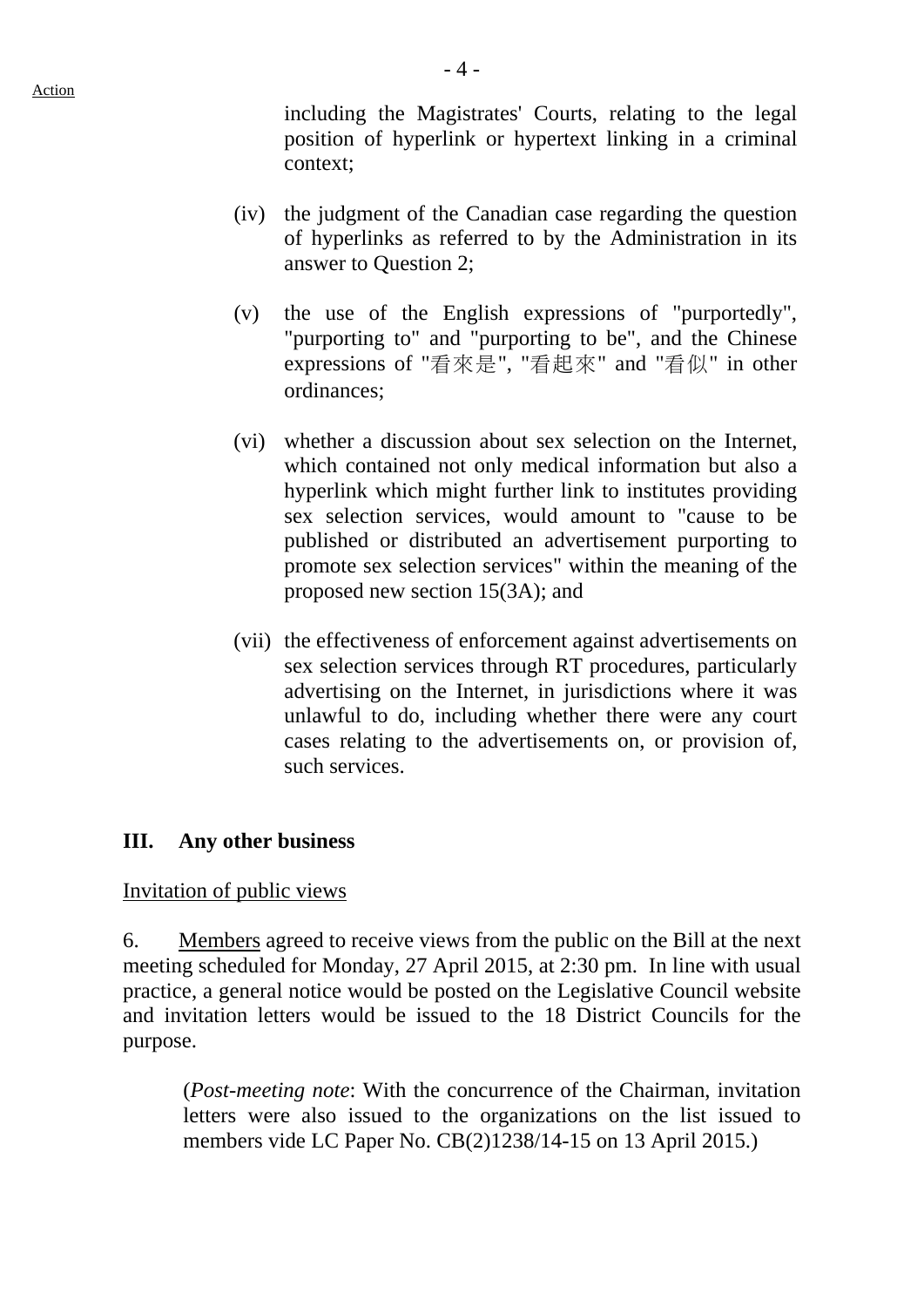including the Magistrates' Courts, relating to the legal position of hyperlink or hypertext linking in a criminal context;

- (iv) the judgment of the Canadian case regarding the question of hyperlinks as referred to by the Administration in its answer to Question 2;
- (v) the use of the English expressions of "purportedly", "purporting to" and "purporting to be", and the Chinese expressions of "看來是", "看起來" and "看似" in other ordinances;
- (vi) whether a discussion about sex selection on the Internet, which contained not only medical information but also a hyperlink which might further link to institutes providing sex selection services, would amount to "cause to be published or distributed an advertisement purporting to promote sex selection services" within the meaning of the proposed new section 15(3A); and
- (vii) the effectiveness of enforcement against advertisements on sex selection services through RT procedures, particularly advertising on the Internet, in jurisdictions where it was unlawful to do, including whether there were any court cases relating to the advertisements on, or provision of, such services.

# **III. Any other business**

Invitation of public views

6. Members agreed to receive views from the public on the Bill at the next meeting scheduled for Monday, 27 April 2015, at 2:30 pm. In line with usual practice, a general notice would be posted on the Legislative Council website and invitation letters would be issued to the 18 District Councils for the purpose.

(*Post-meeting note*: With the concurrence of the Chairman, invitation letters were also issued to the organizations on the list issued to members vide LC Paper No. CB(2)1238/14-15 on 13 April 2015.)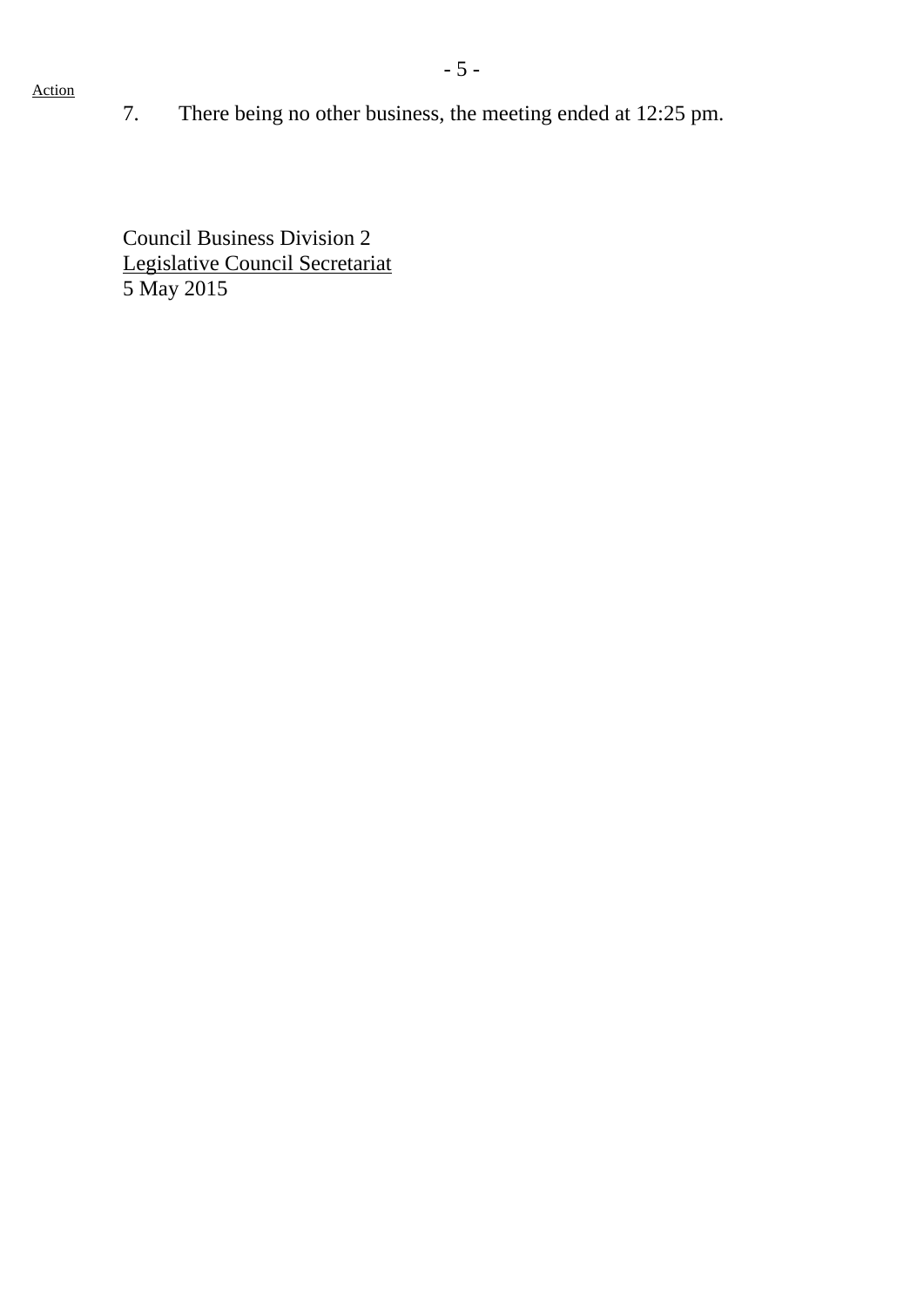7. There being no other business, the meeting ended at 12:25 pm.

Council Business Division 2 Legislative Council Secretariat 5 May 2015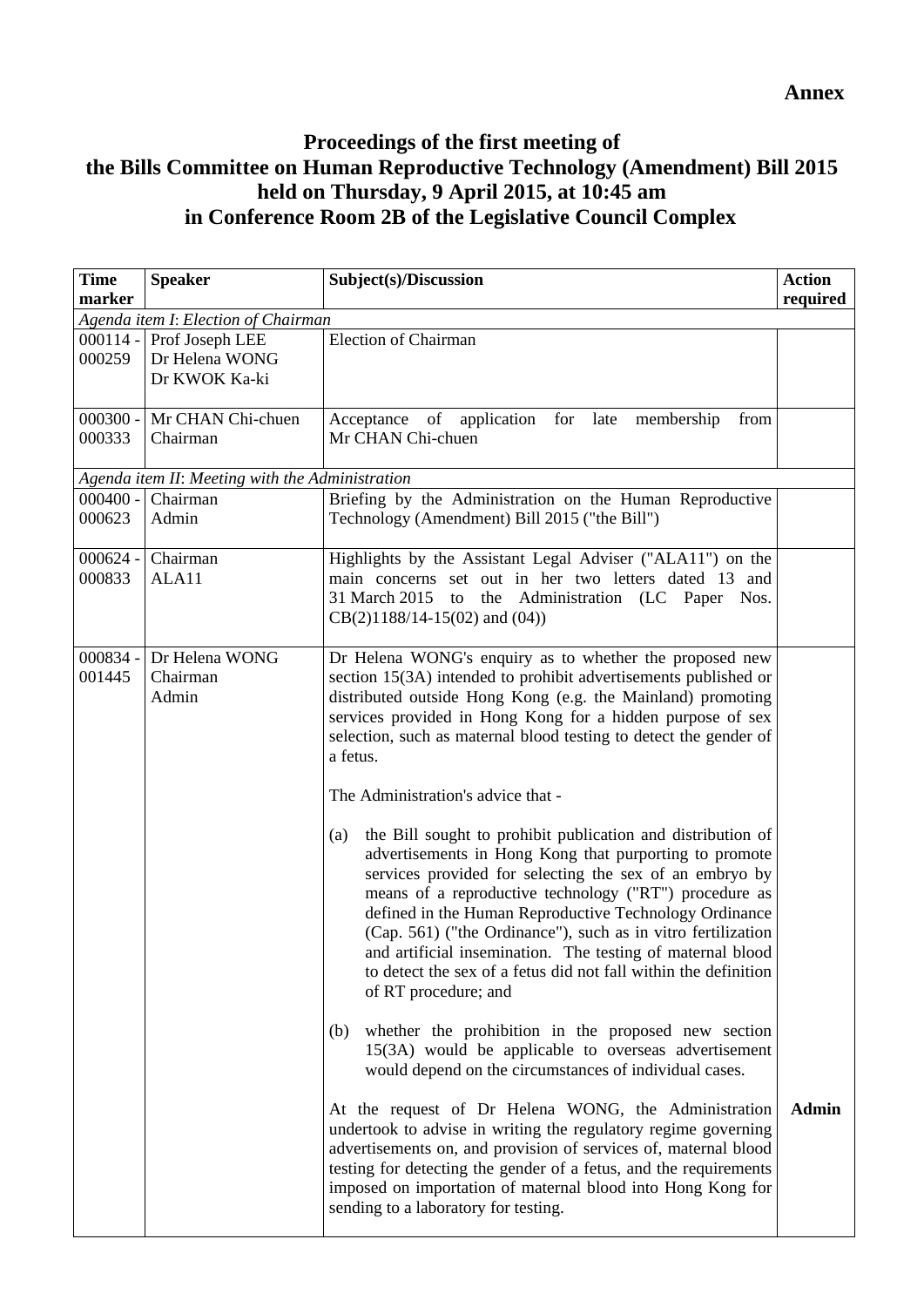#### **Annex**

# **Proceedings of the first meeting of the Bills Committee on Human Reproductive Technology (Amendment) Bill 2015 held on Thursday, 9 April 2015, at 10:45 am in Conference Room 2B of the Legislative Council Complex**

| <b>Time</b> | <b>Speaker</b>                                  | Subject(s)/Discussion                                                                                                          | <b>Action</b> |
|-------------|-------------------------------------------------|--------------------------------------------------------------------------------------------------------------------------------|---------------|
| marker      |                                                 |                                                                                                                                | required      |
|             | Agenda item I: Election of Chairman             |                                                                                                                                |               |
|             | 000114 - Prof Joseph LEE                        | <b>Election of Chairman</b>                                                                                                    |               |
| 000259      | Dr Helena WONG                                  |                                                                                                                                |               |
|             | Dr KWOK Ka-ki                                   |                                                                                                                                |               |
|             | 000300 - Mr CHAN Chi-chuen                      |                                                                                                                                |               |
| 000333      | Chairman                                        | of<br>application for late<br>Acceptance<br>membership<br>from<br>Mr CHAN Chi-chuen                                            |               |
|             |                                                 |                                                                                                                                |               |
|             | Agenda item II: Meeting with the Administration |                                                                                                                                |               |
| $000400 -$  | Chairman                                        | Briefing by the Administration on the Human Reproductive                                                                       |               |
| 000623      | Admin                                           | Technology (Amendment) Bill 2015 ("the Bill")                                                                                  |               |
|             |                                                 |                                                                                                                                |               |
| $000624 -$  | Chairman                                        | Highlights by the Assistant Legal Adviser ("ALA11") on the                                                                     |               |
| 000833      | ALA11                                           | main concerns set out in her two letters dated 13 and                                                                          |               |
|             |                                                 | 31 March 2015 to the Administration (LC Paper Nos.                                                                             |               |
|             |                                                 | $CB(2)1188/14-15(02)$ and $(04)$ )                                                                                             |               |
|             |                                                 |                                                                                                                                |               |
| 000834 -    | Dr Helena WONG                                  | Dr Helena WONG's enquiry as to whether the proposed new                                                                        |               |
| 001445      | Chairman<br>Admin                               | section 15(3A) intended to prohibit advertisements published or<br>distributed outside Hong Kong (e.g. the Mainland) promoting |               |
|             |                                                 | services provided in Hong Kong for a hidden purpose of sex                                                                     |               |
|             |                                                 | selection, such as maternal blood testing to detect the gender of                                                              |               |
|             |                                                 | a fetus.                                                                                                                       |               |
|             |                                                 |                                                                                                                                |               |
|             |                                                 | The Administration's advice that -                                                                                             |               |
|             |                                                 |                                                                                                                                |               |
|             |                                                 | the Bill sought to prohibit publication and distribution of<br>(a)                                                             |               |
|             |                                                 | advertisements in Hong Kong that purporting to promote                                                                         |               |
|             |                                                 | services provided for selecting the sex of an embryo by                                                                        |               |
|             |                                                 | means of a reproductive technology ("RT") procedure as                                                                         |               |
|             |                                                 | defined in the Human Reproductive Technology Ordinance                                                                         |               |
|             |                                                 | (Cap. 561) ("the Ordinance"), such as in vitro fertilization                                                                   |               |
|             |                                                 | and artificial insemination. The testing of maternal blood                                                                     |               |
|             |                                                 | to detect the sex of a fetus did not fall within the definition                                                                |               |
|             |                                                 | of RT procedure; and                                                                                                           |               |
|             |                                                 | whether the prohibition in the proposed new section<br>(b)                                                                     |               |
|             |                                                 | 15(3A) would be applicable to overseas advertisement                                                                           |               |
|             |                                                 | would depend on the circumstances of individual cases.                                                                         |               |
|             |                                                 |                                                                                                                                |               |
|             |                                                 | At the request of Dr Helena WONG, the Administration                                                                           | <b>Admin</b>  |
|             |                                                 | undertook to advise in writing the regulatory regime governing                                                                 |               |
|             |                                                 | advertisements on, and provision of services of, maternal blood                                                                |               |
|             |                                                 | testing for detecting the gender of a fetus, and the requirements                                                              |               |
|             |                                                 | imposed on importation of maternal blood into Hong Kong for                                                                    |               |
|             |                                                 | sending to a laboratory for testing.                                                                                           |               |
|             |                                                 |                                                                                                                                |               |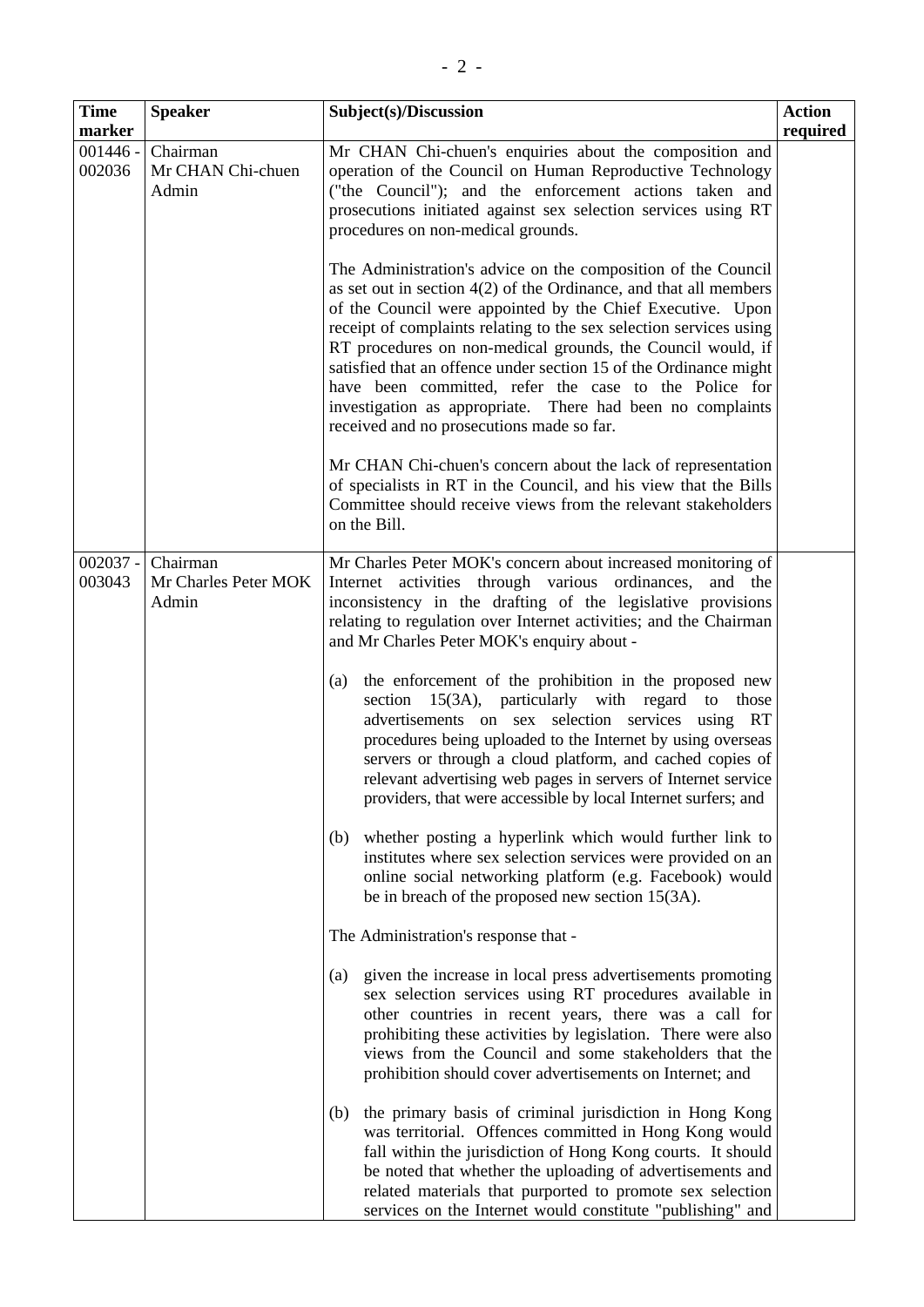| Speaker           | Subject(s)/Discussion                                     | <b>Action</b> |
|-------------------|-----------------------------------------------------------|---------------|
|                   |                                                           | require       |
| Chairman          | Mr CHAN Chi-chuen's enquiries about the composition and   |               |
| Mr CHAN Chi-chuen | operation of the Council on Human Reproductive Technology |               |
| Admin             | ("the Council"); and the enforcement actions taken and    |               |

| prosecutions initiated against sex selection services using RT<br>procedures on non-medical grounds.                                                                                                                                                                                                                                                                                                                                                                                                                                                                             |
|----------------------------------------------------------------------------------------------------------------------------------------------------------------------------------------------------------------------------------------------------------------------------------------------------------------------------------------------------------------------------------------------------------------------------------------------------------------------------------------------------------------------------------------------------------------------------------|
| The Administration's advice on the composition of the Council<br>as set out in section $4(2)$ of the Ordinance, and that all members<br>of the Council were appointed by the Chief Executive. Upon<br>receipt of complaints relating to the sex selection services using<br>RT procedures on non-medical grounds, the Council would, if<br>satisfied that an offence under section 15 of the Ordinance might<br>have been committed, refer the case to the Police for<br>investigation as appropriate. There had been no complaints<br>received and no prosecutions made so far. |
| Mr CHAN Chi-chuen's concern about the lack of representation<br>of specialists in RT in the Council, and his view that the Bills                                                                                                                                                                                                                                                                                                                                                                                                                                                 |

services on the Internet would constitute "publishing" and

**required**

|                      |                                           | Committee should receive views from the relevant stakeholders<br>on the Bill.                                                                                                                                                                                                                                                                                                                                                          |
|----------------------|-------------------------------------------|----------------------------------------------------------------------------------------------------------------------------------------------------------------------------------------------------------------------------------------------------------------------------------------------------------------------------------------------------------------------------------------------------------------------------------------|
| $002037 -$<br>003043 | Chairman<br>Mr Charles Peter MOK<br>Admin | Mr Charles Peter MOK's concern about increased monitoring of<br>Internet activities through various ordinances,<br>and the<br>inconsistency in the drafting of the legislative provisions<br>relating to regulation over Internet activities; and the Chairman<br>and Mr Charles Peter MOK's enquiry about -                                                                                                                           |
|                      |                                           | the enforcement of the prohibition in the proposed new<br>(a)<br>section 15(3A), particularly with regard to those<br>advertisements on sex selection services using RT<br>procedures being uploaded to the Internet by using overseas<br>servers or through a cloud platform, and cached copies of<br>relevant advertising web pages in servers of Internet service<br>providers, that were accessible by local Internet surfers; and |
|                      |                                           | whether posting a hyperlink which would further link to<br>(b)<br>institutes where sex selection services were provided on an<br>online social networking platform (e.g. Facebook) would<br>be in breach of the proposed new section 15(3A).                                                                                                                                                                                           |
|                      |                                           | The Administration's response that -                                                                                                                                                                                                                                                                                                                                                                                                   |
|                      |                                           | given the increase in local press advertisements promoting<br>(a)<br>sex selection services using RT procedures available in<br>other countries in recent years, there was a call for<br>prohibiting these activities by legislation. There were also<br>views from the Council and some stakeholders that the<br>prohibition should cover advertisements on Internet; and                                                             |
|                      |                                           | the primary basis of criminal jurisdiction in Hong Kong<br>(b)<br>was territorial. Offences committed in Hong Kong would<br>fall within the jurisdiction of Hong Kong courts. It should<br>be noted that whether the uploading of advertisements and<br>related materials that purported to promote sex selection                                                                                                                      |

**Time marker** 

001446 - 002036

Chairman

Admin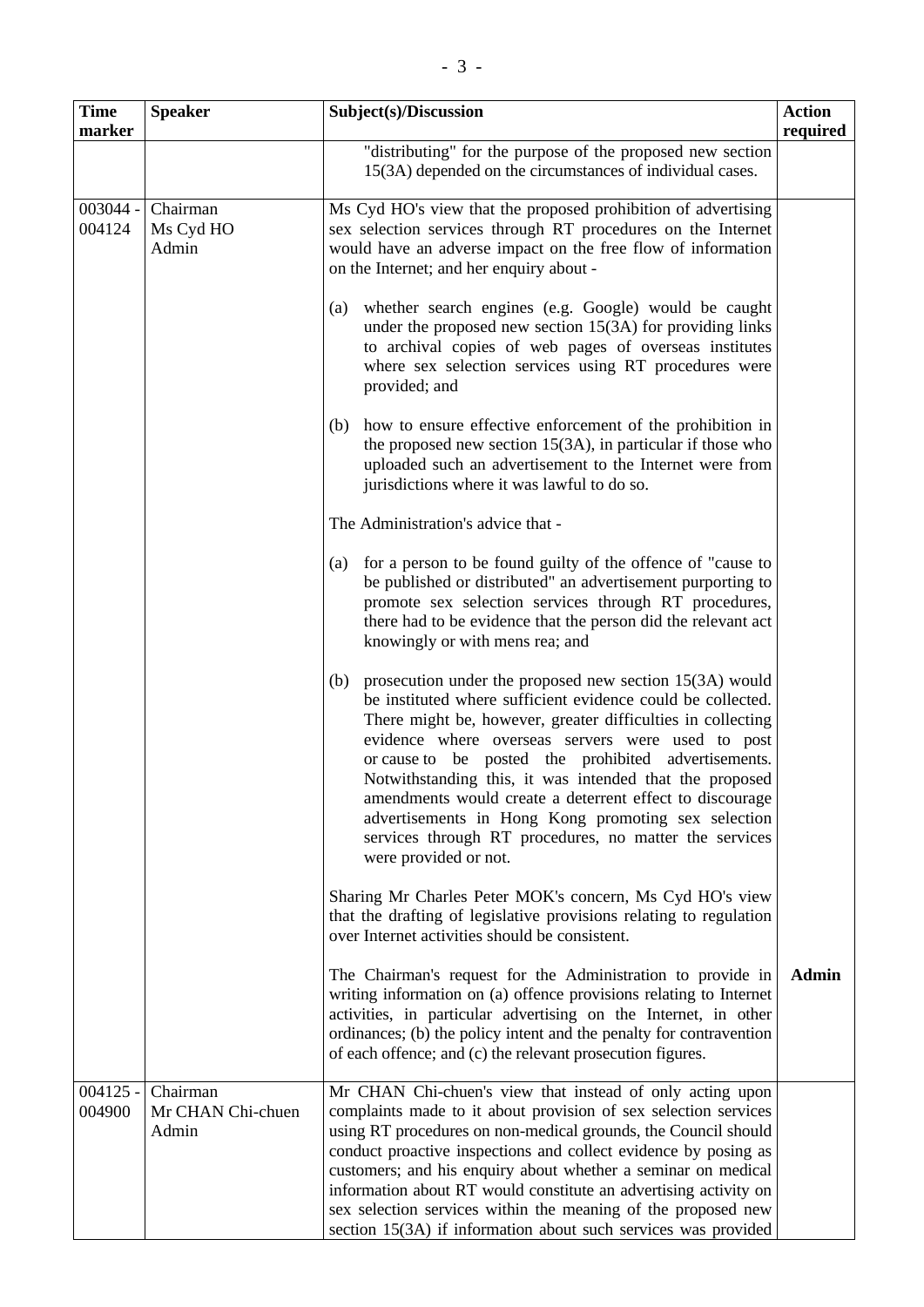| <b>Time</b><br>marker | <b>Speaker</b>                         | Subject(s)/Discussion                                                                                                                                                                                                                                                                                                                                                                                                                                                                                                                                                        | <b>Action</b><br>required |
|-----------------------|----------------------------------------|------------------------------------------------------------------------------------------------------------------------------------------------------------------------------------------------------------------------------------------------------------------------------------------------------------------------------------------------------------------------------------------------------------------------------------------------------------------------------------------------------------------------------------------------------------------------------|---------------------------|
|                       |                                        | "distributing" for the purpose of the proposed new section<br>15(3A) depended on the circumstances of individual cases.                                                                                                                                                                                                                                                                                                                                                                                                                                                      |                           |
| 003044 -<br>004124    | Chairman<br>Ms Cyd HO<br>Admin         | Ms Cyd HO's view that the proposed prohibition of advertising<br>sex selection services through RT procedures on the Internet<br>would have an adverse impact on the free flow of information<br>on the Internet; and her enquiry about -                                                                                                                                                                                                                                                                                                                                    |                           |
|                       |                                        | whether search engines (e.g. Google) would be caught<br>(a)<br>under the proposed new section $15(3A)$ for providing links<br>to archival copies of web pages of overseas institutes<br>where sex selection services using RT procedures were<br>provided; and                                                                                                                                                                                                                                                                                                               |                           |
|                       |                                        | how to ensure effective enforcement of the prohibition in<br>(b)<br>the proposed new section $15(3A)$ , in particular if those who<br>uploaded such an advertisement to the Internet were from<br>jurisdictions where it was lawful to do so.                                                                                                                                                                                                                                                                                                                                |                           |
|                       |                                        | The Administration's advice that -                                                                                                                                                                                                                                                                                                                                                                                                                                                                                                                                           |                           |
|                       |                                        | for a person to be found guilty of the offence of "cause to<br>(a)<br>be published or distributed" an advertisement purporting to<br>promote sex selection services through RT procedures,<br>there had to be evidence that the person did the relevant act<br>knowingly or with mens rea; and                                                                                                                                                                                                                                                                               |                           |
|                       |                                        | prosecution under the proposed new section $15(3A)$ would<br>(b)<br>be instituted where sufficient evidence could be collected.<br>There might be, however, greater difficulties in collecting<br>evidence where overseas servers were used to post<br>or cause to be posted the prohibited advertisements.<br>Notwithstanding this, it was intended that the proposed<br>amendments would create a deterrent effect to discourage<br>advertisements in Hong Kong promoting sex selection<br>services through RT procedures, no matter the services<br>were provided or not. |                           |
|                       |                                        | Sharing Mr Charles Peter MOK's concern, Ms Cyd HO's view<br>that the drafting of legislative provisions relating to regulation<br>over Internet activities should be consistent.                                                                                                                                                                                                                                                                                                                                                                                             |                           |
|                       |                                        | The Chairman's request for the Administration to provide in<br>writing information on (a) offence provisions relating to Internet<br>activities, in particular advertising on the Internet, in other<br>ordinances; (b) the policy intent and the penalty for contravention<br>of each offence; and (c) the relevant prosecution figures.                                                                                                                                                                                                                                    | <b>Admin</b>              |
| $004125 -$<br>004900  | Chairman<br>Mr CHAN Chi-chuen<br>Admin | Mr CHAN Chi-chuen's view that instead of only acting upon<br>complaints made to it about provision of sex selection services<br>using RT procedures on non-medical grounds, the Council should<br>conduct proactive inspections and collect evidence by posing as<br>customers; and his enquiry about whether a seminar on medical<br>information about RT would constitute an advertising activity on<br>sex selection services within the meaning of the proposed new<br>section 15(3A) if information about such services was provided                                    |                           |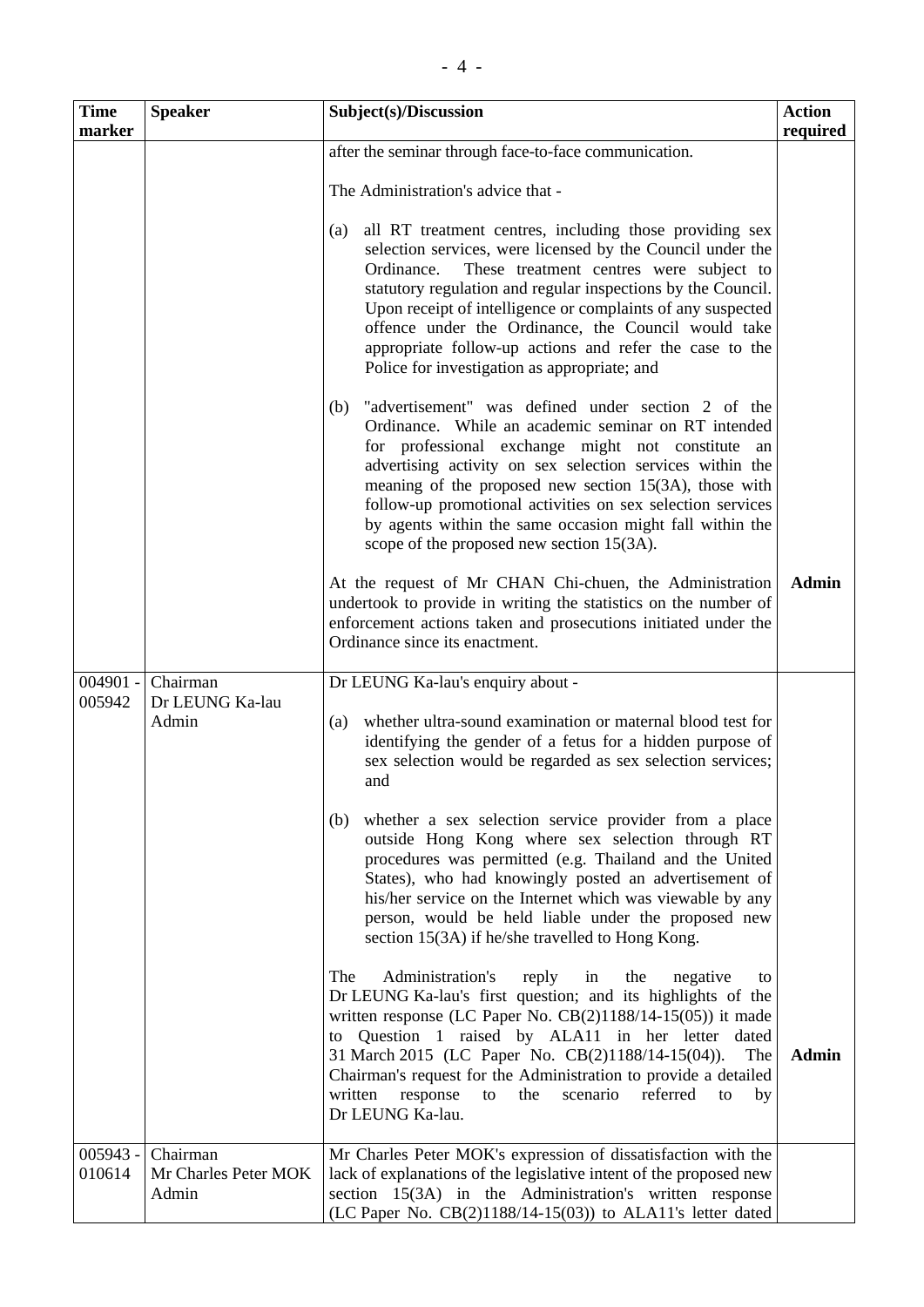| <b>Time</b><br>marker | <b>Speaker</b>                            | Subject(s)/Discussion                                                                                                                                                                                                                                                                                                                                                                                                                                                                  | <b>Action</b><br>required |
|-----------------------|-------------------------------------------|----------------------------------------------------------------------------------------------------------------------------------------------------------------------------------------------------------------------------------------------------------------------------------------------------------------------------------------------------------------------------------------------------------------------------------------------------------------------------------------|---------------------------|
|                       |                                           | after the seminar through face-to-face communication.                                                                                                                                                                                                                                                                                                                                                                                                                                  |                           |
|                       |                                           | The Administration's advice that -                                                                                                                                                                                                                                                                                                                                                                                                                                                     |                           |
|                       |                                           | all RT treatment centres, including those providing sex<br>(a)<br>selection services, were licensed by the Council under the<br>These treatment centres were subject to<br>Ordinance.<br>statutory regulation and regular inspections by the Council.<br>Upon receipt of intelligence or complaints of any suspected<br>offence under the Ordinance, the Council would take<br>appropriate follow-up actions and refer the case to the<br>Police for investigation as appropriate; and |                           |
|                       |                                           | "advertisement" was defined under section 2 of the<br>(b)<br>Ordinance. While an academic seminar on RT intended<br>for professional exchange might not constitute<br>an<br>advertising activity on sex selection services within the<br>meaning of the proposed new section $15(3A)$ , those with<br>follow-up promotional activities on sex selection services<br>by agents within the same occasion might fall within the<br>scope of the proposed new section 15(3A).              |                           |
|                       |                                           | At the request of Mr CHAN Chi-chuen, the Administration<br>undertook to provide in writing the statistics on the number of<br>enforcement actions taken and prosecutions initiated under the<br>Ordinance since its enactment.                                                                                                                                                                                                                                                         | <b>Admin</b>              |
| $004901 -$            | Chairman                                  | Dr LEUNG Ka-lau's enquiry about -                                                                                                                                                                                                                                                                                                                                                                                                                                                      |                           |
| 005942                | Dr LEUNG Ka-lau<br>Admin                  | whether ultra-sound examination or maternal blood test for<br>(a)<br>identifying the gender of a fetus for a hidden purpose of<br>sex selection would be regarded as sex selection services;<br>and                                                                                                                                                                                                                                                                                    |                           |
|                       |                                           | whether a sex selection service provider from a place<br>(b)<br>outside Hong Kong where sex selection through RT<br>procedures was permitted (e.g. Thailand and the United<br>States), who had knowingly posted an advertisement of<br>his/her service on the Internet which was viewable by any<br>person, would be held liable under the proposed new<br>section 15(3A) if he/she travelled to Hong Kong.                                                                            |                           |
|                       |                                           | The<br>Administration's<br>reply<br>the<br>negative<br>in<br>to<br>Dr LEUNG Ka-lau's first question; and its highlights of the<br>written response (LC Paper No. $CB(2)1188/14-15(05)$ ) it made<br>to Question 1 raised by ALA11 in her letter dated<br>31 March 2015 (LC Paper No. CB(2)1188/14-15(04)).<br>The<br>Chairman's request for the Administration to provide a detailed<br>referred<br>written<br>response<br>the<br>scenario<br>to<br>to<br>by<br>Dr LEUNG Ka-lau.       | <b>Admin</b>              |
| 005943 -<br>010614    | Chairman<br>Mr Charles Peter MOK<br>Admin | Mr Charles Peter MOK's expression of dissatisfaction with the<br>lack of explanations of the legislative intent of the proposed new<br>section 15(3A) in the Administration's written response<br>(LC Paper No. $CB(2)1188/14-15(03)$ ) to ALA11's letter dated                                                                                                                                                                                                                        |                           |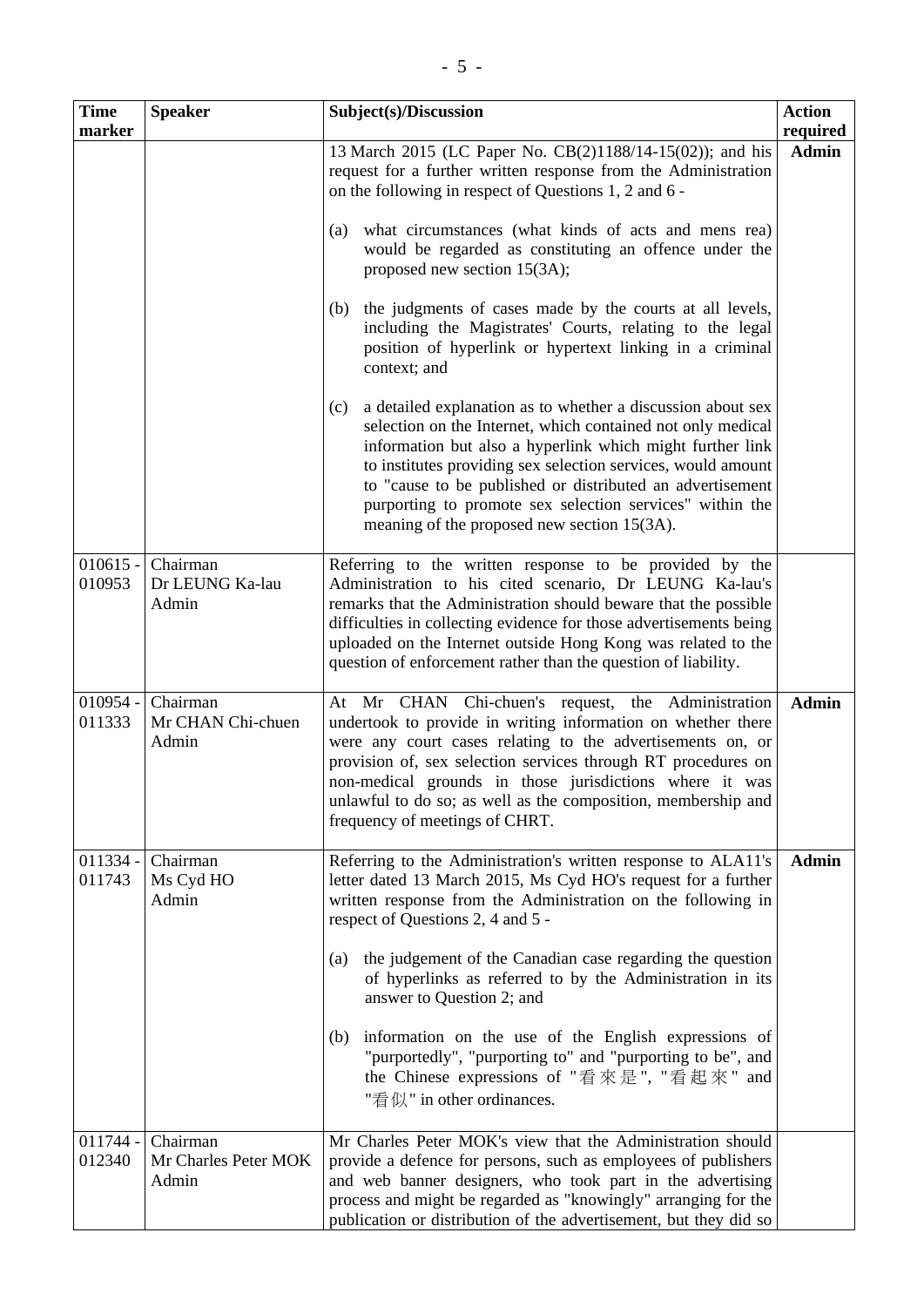| <b>Time</b><br>marker | <b>Speaker</b>                            | Subject(s)/Discussion                                                                                                                                                                                                                                                                                                                                                                                                                  | <b>Action</b><br>required |
|-----------------------|-------------------------------------------|----------------------------------------------------------------------------------------------------------------------------------------------------------------------------------------------------------------------------------------------------------------------------------------------------------------------------------------------------------------------------------------------------------------------------------------|---------------------------|
|                       |                                           | 13 March 2015 (LC Paper No. CB(2)1188/14-15(02)); and his<br>request for a further written response from the Administration<br>on the following in respect of Questions 1, 2 and 6 -                                                                                                                                                                                                                                                   | <b>Admin</b>              |
|                       |                                           | what circumstances (what kinds of acts and mens rea)<br>(a)<br>would be regarded as constituting an offence under the<br>proposed new section 15(3A);                                                                                                                                                                                                                                                                                  |                           |
|                       |                                           | the judgments of cases made by the courts at all levels,<br>(b)<br>including the Magistrates' Courts, relating to the legal<br>position of hyperlink or hypertext linking in a criminal<br>context; and                                                                                                                                                                                                                                |                           |
|                       |                                           | a detailed explanation as to whether a discussion about sex<br>(c)<br>selection on the Internet, which contained not only medical<br>information but also a hyperlink which might further link<br>to institutes providing sex selection services, would amount<br>to "cause to be published or distributed an advertisement<br>purporting to promote sex selection services" within the<br>meaning of the proposed new section 15(3A). |                           |
| $010615 -$<br>010953  | Chairman<br>Dr LEUNG Ka-lau<br>Admin      | Referring to the written response to be provided by the<br>Administration to his cited scenario, Dr LEUNG Ka-lau's<br>remarks that the Administration should beware that the possible<br>difficulties in collecting evidence for those advertisements being<br>uploaded on the Internet outside Hong Kong was related to the<br>question of enforcement rather than the question of liability.                                         |                           |
| $010954 -$<br>011333  | Chairman<br>Mr CHAN Chi-chuen<br>Admin    | At Mr CHAN Chi-chuen's request, the Administration<br>undertook to provide in writing information on whether there<br>were any court cases relating to the advertisements on, or<br>provision of, sex selection services through RT procedures on<br>non-medical grounds in those jurisdictions where it was<br>unlawful to do so; as well as the composition, membership and<br>frequency of meetings of CHRT.                        | <b>Admin</b>              |
| $011334 -$<br>011743  | Chairman<br>Ms Cyd HO<br>Admin            | Referring to the Administration's written response to ALA11's<br>letter dated 13 March 2015, Ms Cyd HO's request for a further<br>written response from the Administration on the following in<br>respect of Questions 2, 4 and 5 -                                                                                                                                                                                                    | <b>Admin</b>              |
|                       |                                           | the judgement of the Canadian case regarding the question<br>(a)<br>of hyperlinks as referred to by the Administration in its<br>answer to Question 2; and                                                                                                                                                                                                                                                                             |                           |
|                       |                                           | information on the use of the English expressions of<br>(b)<br>"purportedly", "purporting to" and "purporting to be", and<br>the Chinese expressions of "看來是", "看起來" and<br>"看似" in other ordinances.                                                                                                                                                                                                                                  |                           |
| $011744 -$<br>012340  | Chairman<br>Mr Charles Peter MOK<br>Admin | Mr Charles Peter MOK's view that the Administration should<br>provide a defence for persons, such as employees of publishers<br>and web banner designers, who took part in the advertising<br>process and might be regarded as "knowingly" arranging for the<br>publication or distribution of the advertisement, but they did so                                                                                                      |                           |